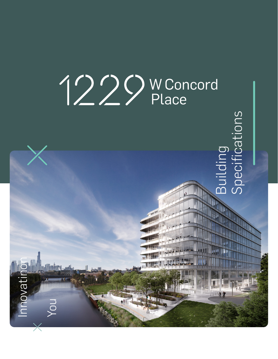

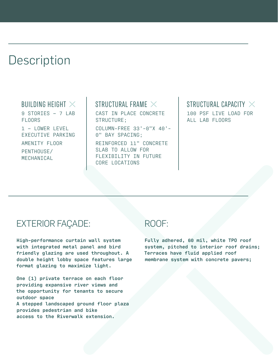# **Description**

#### BUILDING HEIGHT  $\times$

9 STORIES – 7 LAB FLOORS 1 – LOWER LEVEL EXECUTIVE PARKING AMENITY FLOOR PENTHOUSE/ MECHANICAL

### STRUCTURAL FRAME  $\times$

CAST IN PLACE CONCRETE STRUCTURE; COLUMN-FREE 33'-0"X 40'- 0" BAY SPACING; REINFORCED 11" CONCRETE SLAB TO ALLOW FOR

FLEXIBILITY IN FUTURE

CORE LOCATIONS

#### STRUCTURAL CAPACITY  $\times$ 100 PSF LIVE LOAD FOR ALL LAB FLOORS

# EXTERIOR FAÇADE:

**High-performance curtain wall system with integrated metal panel and bird friendly glazing are used throughout. A double height lobby space features large format glazing to maximize light.**

**One (1) private terrace on each floor providing expansive river views and the opportunity for tenants to secure outdoor space**

**A stepped landscaped ground floor plaza provides pedestrian and bike access to the Riverwalk extension.**

## ROOF:

**Fully adhered, 60 mil, white TPO roof system, pitched to interior roof drains; Terraces have fluid applied roof membrane system with concrete pavers;**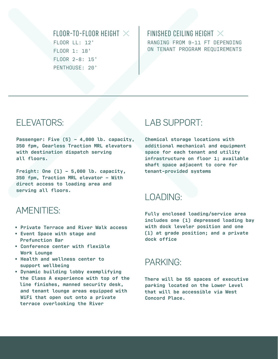### FLOOR-TO-FLOOR HEIGHT  $\times$ FLOOR LL: 12' FLOOR 1: 18' FLOOR 2-8: 15' PENTHOUSE: 20'

#### FINISHED CEILING HEIGHT  $\times$ RANGING FROM 9-11 FT DEPENDING ON TENANT PROGRAM REQUIREMENTS

# ELEVATORS:

**Passenger: Five (5) – 4,000 lb. capacity, 350 fpm, Gearless Traction MRL elevators with destination dispatch serving all floors.**

**Freight: One (1) – 5,000 lb. capacity, 350 fpm, Traction MRL elevator – With direct access to loading area and serving all floors.**

# AMENITIES:

- **Private Terrace and River Walk access**
- **Event Space with stage and Prefunction Bar**
- **Conference center with flexible Work Lounge**
- **Health and wellness center to support wellbeing**
- **Dynamic building lobby exemplifying the Class A experience with top of the line finishes, manned security desk, and tenant lounge areas equipped with WiFi that open out onto a private terrace overlooking the River**

# LAB SUPPORT:

**Chemical storage locations with additional mechanical and equipment space for each tenant and utility infrastructure on floor 1; available shaft space adjacent to core for tenant-provided systems**

# LOADING:

**Fully enclosed loading/service area includes one (1) depressed loading bay with dock leveler position and one (1) at grade position; and a private dock office**

# PARKING:

**There will be 55 spaces of executive parking located on the Lower Level that will be accessible via West Concord Place.**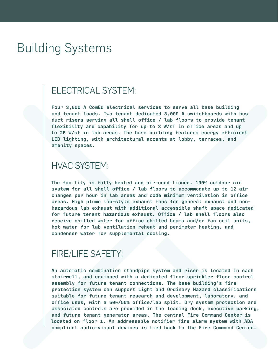# Building Systems

### ELECTRICAL SYSTEM:

**Four 3,000 A ComEd electrical services to serve all base building and tenant loads. Two tenant dedicated 3,000 A switchboards with bus duct risers serving all shell office / lab floors to provide tenant flexibility and capability for up to 8 W/sf in office areas and up to 25 W/sf in lab areas. The base building features energy efficient LED lighting, with architectural accents at lobby, terraces, and amenity spaces.**

### HVAC SYSTEM:

**The facility is fully heated and air-conditioned. 100% outdoor air system for all shell office / lab floors to accommodate up to 12 air changes per hour in lab areas and code minimum ventilation in office areas. High plume lab-style exhaust fans for general exhaust and nonhazardous lab exhaust with additional accessible shaft space dedicated for future tenant hazardous exhaust. Office / lab shell floors also receive chilled water for office chilled beams and/or fan coil units, hot water for lab ventilation reheat and perimeter heating, and condenser water for supplemental cooling.**

# FIRE/LIFE SAFETY:

**An automatic combination standpipe system and riser is located in each stairwell, and equipped with a dedicated floor sprinkler floor control assembly for future tenant connections. The base building's fire protection system can support Light and Ordinary Hazard classifications suitable for future tenant research and development, laboratory, and office uses, with a 50%/50% office/lab split. Dry system protection and associated controls are provided in the loading dock, executive parking, and future tenant generator areas. The central Fire Command Center is located on floor 1. An addressable notifier fire alarm system with ADA compliant audio-visual devices is tied back to the Fire Command Center.**